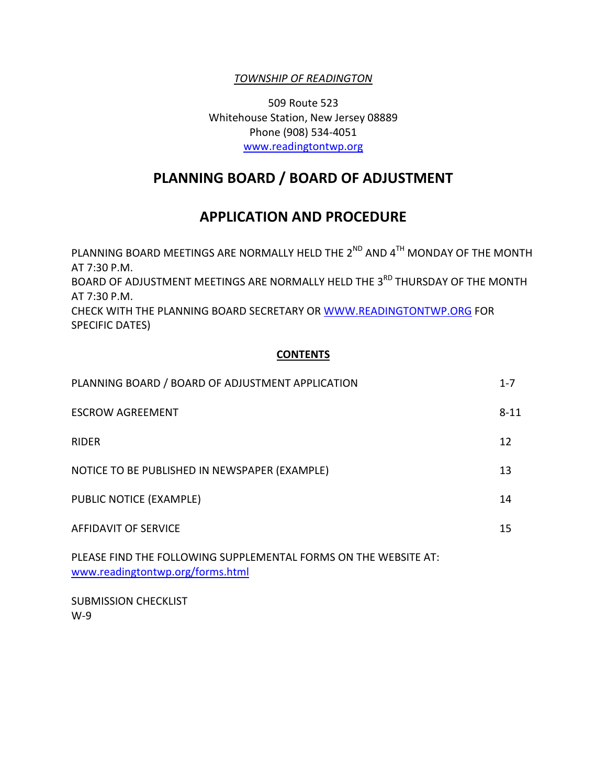# *TOWNSHIP OF READINGTON*

509 Route 523 Whitehouse Station, New Jersey 08889 Phone (908) 534-4051 [www.readingtontwp.org](http://www.readingtontwp.org/)

# **PLANNING BOARD / BOARD OF ADJUSTMENT**

# **APPLICATION AND PROCEDURE**

PLANNING BOARD MEETINGS ARE NORMALLY HELD THE  $2^{ND}$  AND  $4^{TH}$  MONDAY OF THE MONTH AT 7:30 P.M. BOARD OF ADJUSTMENT MEETINGS ARE NORMALLY HELD THE 3<sup>RD</sup> THURSDAY OF THE MONTH AT 7:30 P.M. CHECK WITH THE PLANNING BOARD SECRETARY OR [WWW.READINGTONTWP.ORG](http://www.readingtontwp.org/) FOR SPECIFIC DATES)

### **CONTENTS**

| PLANNING BOARD / BOARD OF ADJUSTMENT APPLICATION                                                    | $1 - 7$  |
|-----------------------------------------------------------------------------------------------------|----------|
| <b>ESCROW AGREEMENT</b>                                                                             | $8 - 11$ |
| <b>RIDER</b>                                                                                        | 12       |
| NOTICE TO BE PUBLISHED IN NEWSPAPER (EXAMPLE)                                                       | 13       |
| PUBLIC NOTICE (EXAMPLE)                                                                             | 14       |
| AFFIDAVIT OF SERVICE                                                                                | 15       |
| PLEASE FIND THE FOLLOWING SUPPLEMENTAL FORMS ON THE WEBSITE AT:<br>www.readingtontwp.org/forms.html |          |

SUBMISSION CHECKLIST W-9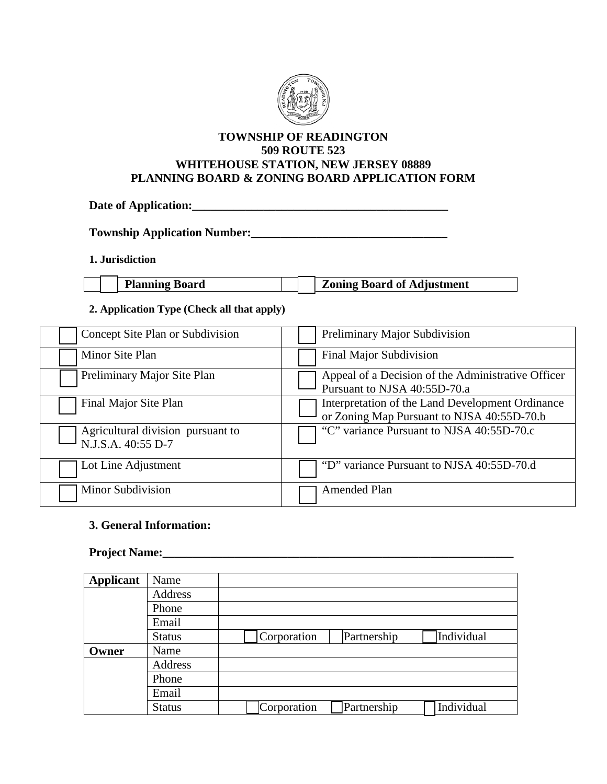

### **TOWNSHIP OF READINGTON 509 ROUTE 523 WHITEHOUSE STATION, NEW JERSEY 08889 PLANNING BOARD & ZONING BOARD APPLICATION FORM**

**Date of Application:\_\_\_\_\_\_\_\_\_\_\_\_\_\_\_\_\_\_\_\_\_\_\_\_\_\_\_\_\_\_\_\_\_\_\_\_\_\_\_\_\_\_\_**

**Township Application Number:\_\_\_\_\_\_\_\_\_\_\_\_\_\_\_\_\_\_\_\_\_\_\_\_\_\_\_\_\_\_\_\_\_**

**1. Jurisdiction**

| <b>Planning Board</b> |  | <b>Zoning Board of Adjustment</b> |
|-----------------------|--|-----------------------------------|
|                       |  |                                   |

#### **2. Application Type (Check all that apply)**

| Concept Site Plan or Subdivision                        | Preliminary Major Subdivision                                                                  |
|---------------------------------------------------------|------------------------------------------------------------------------------------------------|
| Minor Site Plan                                         | Final Major Subdivision                                                                        |
| Preliminary Major Site Plan                             | Appeal of a Decision of the Administrative Officer<br>Pursuant to NJSA 40:55D-70.a             |
| Final Major Site Plan                                   | Interpretation of the Land Development Ordinance<br>or Zoning Map Pursuant to NJSA 40:55D-70.b |
| Agricultural division pursuant to<br>N.J.S.A. 40:55 D-7 | "C" variance Pursuant to NJSA 40:55D-70.c                                                      |
| Lot Line Adjustment                                     | "D" variance Pursuant to NJSA 40:55D-70.d                                                      |
| Minor Subdivision                                       | <b>Amended Plan</b>                                                                            |

### **3. General Information:**

#### **Project Name:**

| <b>Applicant</b> | Name          |             |             |            |
|------------------|---------------|-------------|-------------|------------|
|                  | Address       |             |             |            |
|                  | Phone         |             |             |            |
|                  | Email         |             |             |            |
|                  | <b>Status</b> | Corporation | Partnership | Individual |
| Owner            | Name          |             |             |            |
|                  | Address       |             |             |            |
|                  | Phone         |             |             |            |
|                  | Email         |             |             |            |
|                  | <b>Status</b> | Corporation | Partnership | Individual |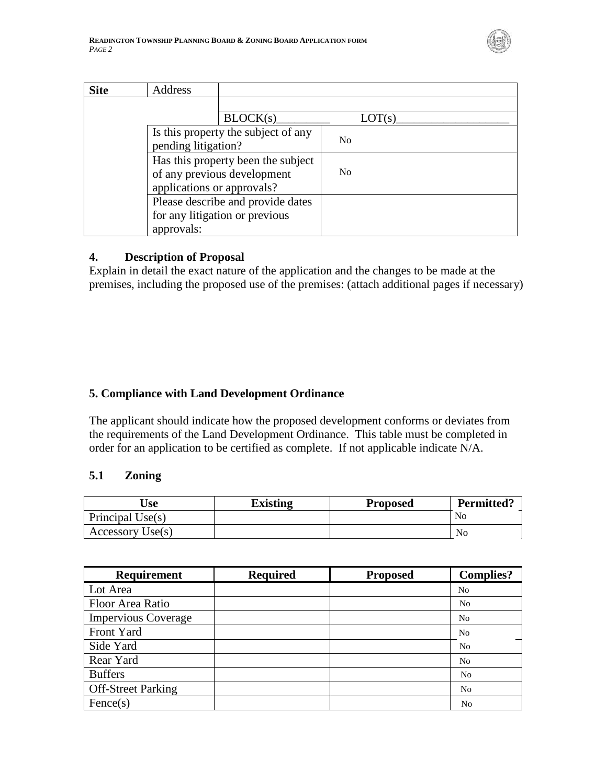

| <b>Site</b> | Address                                                                                         |                |  |
|-------------|-------------------------------------------------------------------------------------------------|----------------|--|
|             |                                                                                                 |                |  |
|             | BLOCK(s)                                                                                        | LOT(s)         |  |
|             | Is this property the subject of any<br>pending litigation?                                      | N <sub>0</sub> |  |
|             | Has this property been the subject<br>of any previous development<br>applications or approvals? | N <sub>0</sub> |  |
|             | Please describe and provide dates<br>for any litigation or previous<br>approvals:               |                |  |

# **4. Description of Proposal**

Explain in detail the exact nature of the application and the changes to be made at the premises, including the proposed use of the premises: (attach additional pages if necessary)

# **5. Compliance with Land Development Ordinance**

The applicant should indicate how the proposed development conforms or deviates from the requirements of the Land Development Ordinance. This table must be completed in order for an application to be certified as complete. If not applicable indicate N/A.

# **5.1 Zoning**

| <b>Use</b>       | Existing | <b>Proposed</b> | <b>Permitted?</b> |
|------------------|----------|-----------------|-------------------|
| Principal Use(s) |          |                 | No                |
| Accessory Use(s) |          |                 | No                |

| <b>Requirement</b>         | <b>Required</b> | <b>Proposed</b> | <b>Complies?</b> |
|----------------------------|-----------------|-----------------|------------------|
| Lot Area                   |                 |                 | N <sub>0</sub>   |
| Floor Area Ratio           |                 |                 | N <sub>0</sub>   |
| <b>Impervious Coverage</b> |                 |                 | N <sub>0</sub>   |
| Front Yard                 |                 |                 | N <sub>0</sub>   |
| Side Yard                  |                 |                 | N <sub>0</sub>   |
| Rear Yard                  |                 |                 | N <sub>0</sub>   |
| <b>Buffers</b>             |                 |                 | N <sub>o</sub>   |
| <b>Off-Street Parking</b>  |                 |                 | N <sub>o</sub>   |
| Fence(s)                   |                 |                 | N <sub>o</sub>   |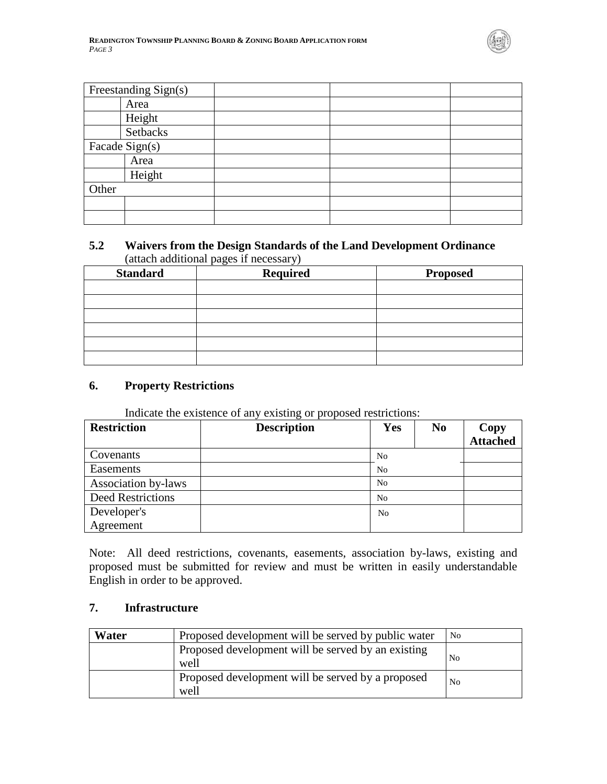

| Freestanding Sign(s) |  |  |
|----------------------|--|--|
| Area                 |  |  |
| Height               |  |  |
| Setbacks             |  |  |
| Facade Sign(s)       |  |  |
| Area                 |  |  |
| Height               |  |  |
| Other                |  |  |
|                      |  |  |
|                      |  |  |

## **5.2 Waivers from the Design Standards of the Land Development Ordinance** (attach additional pages if necessary)

| <b>Standard</b> | <b>Required</b> | <b>Proposed</b> |
|-----------------|-----------------|-----------------|
|                 |                 |                 |
|                 |                 |                 |
|                 |                 |                 |
|                 |                 |                 |
|                 |                 |                 |
|                 |                 |                 |

### **6. Property Restrictions**

Indicate the existence of any existing or proposed restrictions:

| <b>Restriction</b>  | <b>Description</b> | Yes            | N <sub>0</sub> | Copy<br>Attached |
|---------------------|--------------------|----------------|----------------|------------------|
| Covenants           |                    | N <sub>0</sub> |                |                  |
| Easements           |                    | N <sub>0</sub> |                |                  |
| Association by-laws |                    | N <sub>0</sub> |                |                  |
| Deed Restrictions   |                    | No             |                |                  |
| Developer's         |                    | N <sub>0</sub> |                |                  |
| Agreement           |                    |                |                |                  |

Note: All deed restrictions, covenants, easements, association by-laws, existing and proposed must be submitted for review and must be written in easily understandable English in order to be approved.

### **7. Infrastructure**

| Water | Proposed development will be served by public water        | N <sub>0</sub> |
|-------|------------------------------------------------------------|----------------|
|       | Proposed development will be served by an existing<br>well | N <sub>0</sub> |
|       | Proposed development will be served by a proposed<br>well  | N <sub>0</sub> |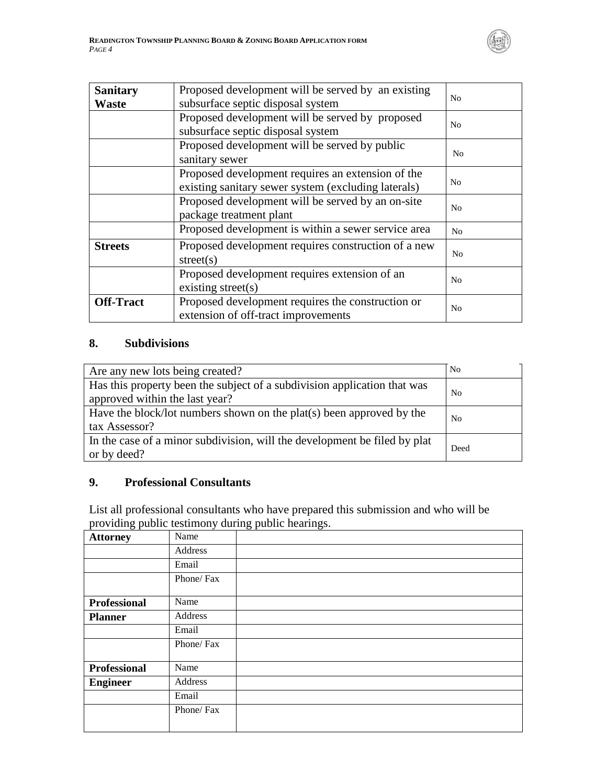

| <b>Sanitary</b><br><b>Waste</b> | Proposed development will be served by an existing<br>subsurface septic disposal system                  | N <sub>0</sub> |
|---------------------------------|----------------------------------------------------------------------------------------------------------|----------------|
|                                 | Proposed development will be served by proposed<br>subsurface septic disposal system                     | N <sub>0</sub> |
|                                 | Proposed development will be served by public<br>sanitary sewer                                          |                |
|                                 | Proposed development requires an extension of the<br>existing sanitary sewer system (excluding laterals) | N <sub>o</sub> |
|                                 | Proposed development will be served by an on-site<br>package treatment plant                             | N <sub>0</sub> |
|                                 | Proposed development is within a sewer service area                                                      | N <sub>0</sub> |
| <b>Streets</b>                  | Proposed development requires construction of a new<br>street(s)                                         | N <sub>0</sub> |
|                                 | Proposed development requires extension of an<br>existing street(s)                                      | N <sub>0</sub> |
| <b>Off-Tract</b>                | Proposed development requires the construction or<br>extension of off-tract improvements                 | N <sub>0</sub> |

## **8. Subdivisions**

*PAGE 4*

| Are any new lots being created?                                                                            | N <sub>0</sub> |
|------------------------------------------------------------------------------------------------------------|----------------|
| Has this property been the subject of a subdivision application that was<br>approved within the last year? | N <sub>0</sub> |
| Have the block/lot numbers shown on the plat(s) been approved by the<br>tax Assessor?                      | No             |
| In the case of a minor subdivision, will the development be filed by plat<br>or by deed?                   | Deed           |

# **9. Professional Consultants**

List all professional consultants who have prepared this submission and who will be providing public testimony during public hearings.

| <b>Attorney</b>     | Name       |  |
|---------------------|------------|--|
|                     | Address    |  |
|                     | Email      |  |
|                     | Phone/Fax  |  |
| <b>Professional</b> | Name       |  |
| <b>Planner</b>      | Address    |  |
|                     | Email      |  |
|                     | Phone/Fax  |  |
| <b>Professional</b> | Name       |  |
| <b>Engineer</b>     | Address    |  |
|                     | Email      |  |
|                     | Phone/ Fax |  |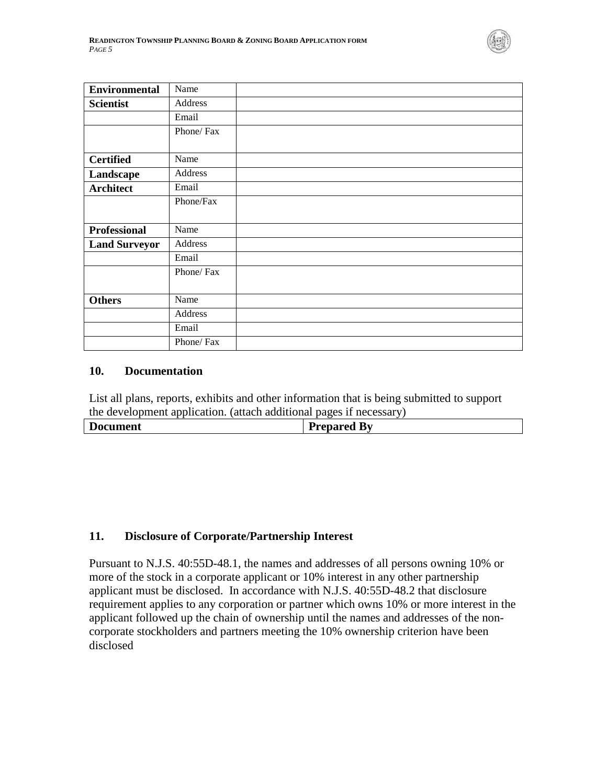

| <b>Environmental</b> | Name      |
|----------------------|-----------|
| <b>Scientist</b>     | Address   |
|                      | Email     |
|                      | Phone/Fax |
| <b>Certified</b>     | Name      |
| Landscape            | Address   |
| <b>Architect</b>     | Email     |
|                      | Phone/Fax |
| <b>Professional</b>  | Name      |
| <b>Land Surveyor</b> | Address   |
|                      | Email     |
|                      | Phone/Fax |
| <b>Others</b>        | Name      |
|                      | Address   |
|                      | Email     |
|                      | Phone/Fax |

#### **10. Documentation**

List all plans, reports, exhibits and other information that is being submitted to support the development application. (attach additional pages if necessary)

| Ð<br>cument | By<br>'renared<br>$\sim$ $\sim$ $\sim$ $\sim$ $\sim$ $\sim$ $\sim$ |
|-------------|--------------------------------------------------------------------|
|             |                                                                    |

# **11. Disclosure of Corporate/Partnership Interest**

Pursuant to N.J.S. 40:55D-48.1, the names and addresses of all persons owning 10% or more of the stock in a corporate applicant or 10% interest in any other partnership applicant must be disclosed. In accordance with N.J.S. 40:55D-48.2 that disclosure requirement applies to any corporation or partner which owns 10% or more interest in the applicant followed up the chain of ownership until the names and addresses of the noncorporate stockholders and partners meeting the 10% ownership criterion have been disclosed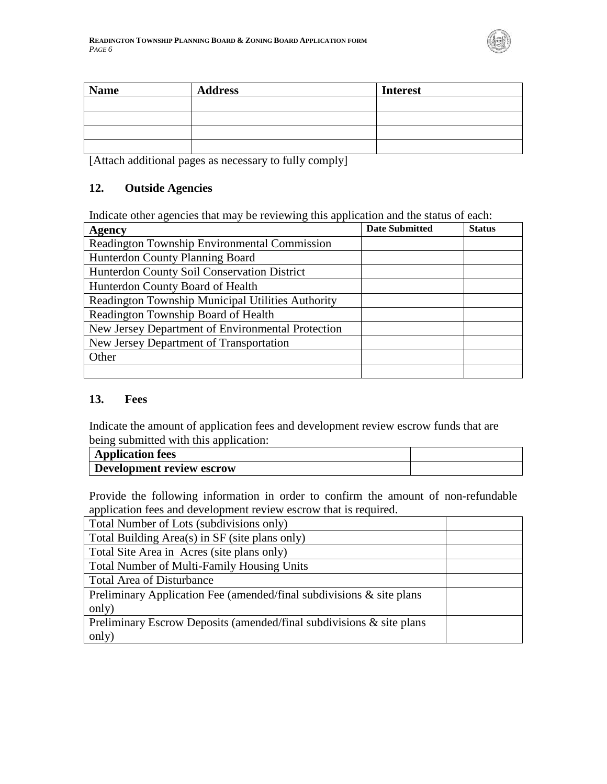

| <b>Name</b> | <b>Address</b> | <b>Interest</b> |
|-------------|----------------|-----------------|
|             |                |                 |
|             |                |                 |
|             |                |                 |
|             |                |                 |

[Attach additional pages as necessary to fully comply]

### **12. Outside Agencies**

Indicate other agencies that may be reviewing this application and the status of each:

| Agency                                            | <b>Date Submitted</b> | <b>Status</b> |
|---------------------------------------------------|-----------------------|---------------|
| Readington Township Environmental Commission      |                       |               |
| Hunterdon County Planning Board                   |                       |               |
| Hunterdon County Soil Conservation District       |                       |               |
| Hunterdon County Board of Health                  |                       |               |
| Readington Township Municipal Utilities Authority |                       |               |
| Readington Township Board of Health               |                       |               |
| New Jersey Department of Environmental Protection |                       |               |
| New Jersey Department of Transportation           |                       |               |
| Other                                             |                       |               |
|                                                   |                       |               |

## **13. Fees**

Indicate the amount of application fees and development review escrow funds that are being submitted with this application:

| <b>Application fees</b>   |  |
|---------------------------|--|
| Development review escrow |  |

Provide the following information in order to confirm the amount of non-refundable application fees and development review escrow that is required.

| Total Number of Lots (subdivisions only)                                |
|-------------------------------------------------------------------------|
| Total Building Area(s) in SF (site plans only)                          |
| Total Site Area in Acres (site plans only)                              |
| <b>Total Number of Multi-Family Housing Units</b>                       |
| <b>Total Area of Disturbance</b>                                        |
| Preliminary Application Fee (amended/final subdivisions $\&$ site plans |
| only)                                                                   |
| Preliminary Escrow Deposits (amended/final subdivisions & site plans)   |
| only)                                                                   |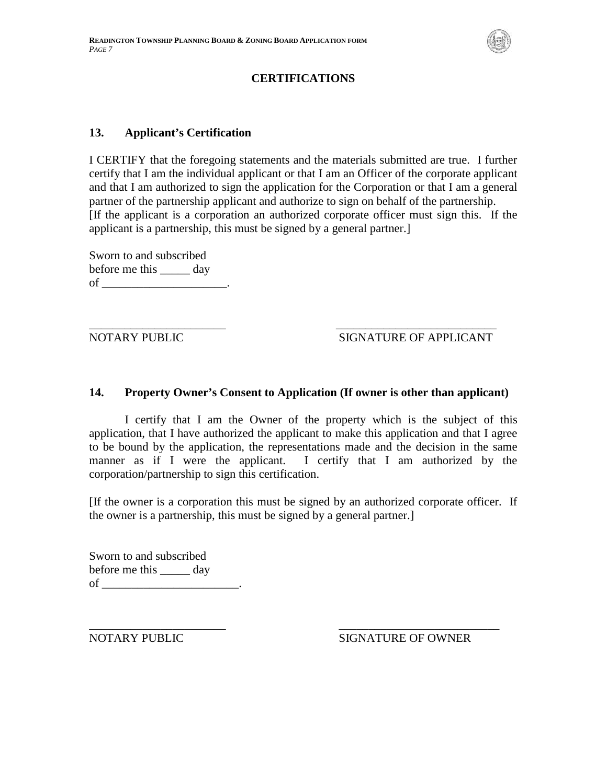

# **CERTIFICATIONS**

## **13. Applicant's Certification**

I CERTIFY that the foregoing statements and the materials submitted are true. I further certify that I am the individual applicant or that I am an Officer of the corporate applicant and that I am authorized to sign the application for the Corporation or that I am a general partner of the partnership applicant and authorize to sign on behalf of the partnership. [If the applicant is a corporation an authorized corporate officer must sign this. If the applicant is a partnership, this must be signed by a general partner.]

Sworn to and subscribed before me this \_\_\_\_\_ day of  $\qquad \qquad$ 

\_\_\_\_\_\_\_\_\_\_\_\_\_\_\_\_\_\_\_\_\_\_\_ \_\_\_\_\_\_\_\_\_\_\_\_\_\_\_\_\_\_\_\_\_\_\_\_\_\_\_

## NOTARY PUBLIC SIGNATURE OF APPLICANT

### **14. Property Owner's Consent to Application (If owner is other than applicant)**

I certify that I am the Owner of the property which is the subject of this application, that I have authorized the applicant to make this application and that I agree to be bound by the application, the representations made and the decision in the same manner as if I were the applicant. I certify that I am authorized by the corporation/partnership to sign this certification.

[If the owner is a corporation this must be signed by an authorized corporate officer. If the owner is a partnership, this must be signed by a general partner.]

Sworn to and subscribed before me this \_\_\_\_\_ day of  $\qquad \qquad \, \cdot$ 

\_\_\_\_\_\_\_\_\_\_\_\_\_\_\_\_\_\_\_\_\_\_\_ \_\_\_\_\_\_\_\_\_\_\_\_\_\_\_\_\_\_\_\_\_\_\_\_\_\_\_ NOTARY PUBLIC SIGNATURE OF OWNER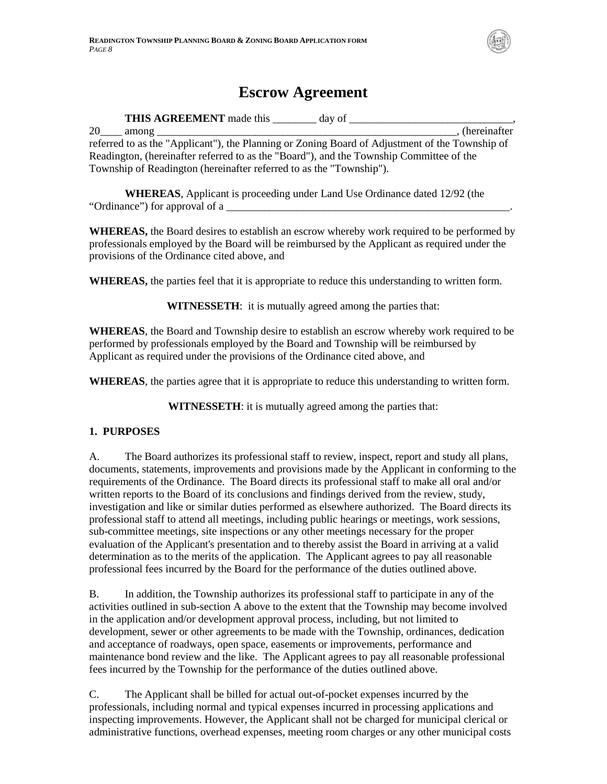

# **Escrow Agreement**

**THIS AGREEMENT** made this \_\_\_\_\_\_\_\_ day of \_\_\_\_\_\_\_\_\_\_\_\_\_\_\_\_\_\_\_\_\_\_\_\_\_\_\_\_\_\_, 20 among (hereinafter referred to as the "Applicant"), the Planning or Zoning Board of Adjustment of the Township of Readington, (hereinafter referred to as the "Board"), and the Township Committee of the Township of Readington (hereinafter referred to as the "Township").

**WHEREAS**, Applicant is proceeding under Land Use Ordinance dated 12/92 (the "Ordinance") for approval of a

**WHEREAS,** the Board desires to establish an escrow whereby work required to be performed by professionals employed by the Board will be reimbursed by the Applicant as required under the provisions of the Ordinance cited above, and

**WHEREAS,** the parties feel that it is appropriate to reduce this understanding to written form.

**WITNESSETH**: it is mutually agreed among the parties that:

**WHEREAS**, the Board and Township desire to establish an escrow whereby work required to be performed by professionals employed by the Board and Township will be reimbursed by Applicant as required under the provisions of the Ordinance cited above, and

**WHEREAS**, the parties agree that it is appropriate to reduce this understanding to written form.

**WITNESSETH**: it is mutually agreed among the parties that:

### **1. PURPOSES**

A. The Board authorizes its professional staff to review, inspect, report and study all plans, documents, statements, improvements and provisions made by the Applicant in conforming to the requirements of the Ordinance. The Board directs its professional staff to make all oral and/or written reports to the Board of its conclusions and findings derived from the review, study, investigation and like or similar duties performed as elsewhere authorized. The Board directs its professional staff to attend all meetings, including public hearings or meetings, work sessions, sub-committee meetings, site inspections or any other meetings necessary for the proper evaluation of the Applicant's presentation and to thereby assist the Board in arriving at a valid determination as to the merits of the application. The Applicant agrees to pay all reasonable professional fees incurred by the Board for the performance of the duties outlined above.

B. In addition, the Township authorizes its professional staff to participate in any of the activities outlined in sub-section A above to the extent that the Township may become involved in the application and/or development approval process, including, but not limited to development, sewer or other agreements to be made with the Township, ordinances, dedication and acceptance of roadways, open space, easements or improvements, performance and maintenance bond review and the like. The Applicant agrees to pay all reasonable professional fees incurred by the Township for the performance of the duties outlined above.

C. The Applicant shall be billed for actual out-of-pocket expenses incurred by the professionals, including normal and typical expenses incurred in processing applications and inspecting improvements. However, the Applicant shall not be charged for municipal clerical or administrative functions, overhead expenses, meeting room charges or any other municipal costs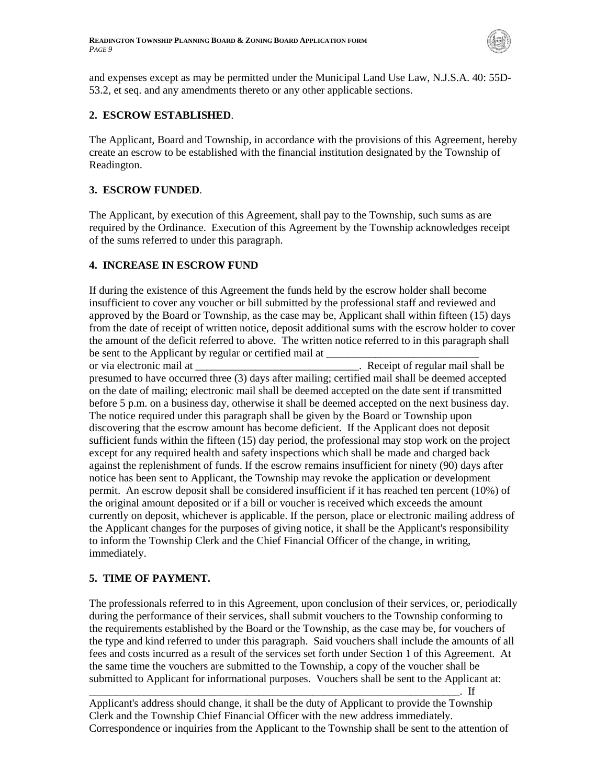

and expenses except as may be permitted under the Municipal Land Use Law, N.J.S.A. 40: 55D-53.2, et seq. and any amendments thereto or any other applicable sections.

#### **2. ESCROW ESTABLISHED**.

The Applicant, Board and Township, in accordance with the provisions of this Agreement, hereby create an escrow to be established with the financial institution designated by the Township of Readington.

#### **3. ESCROW FUNDED**.

The Applicant, by execution of this Agreement, shall pay to the Township, such sums as are required by the Ordinance. Execution of this Agreement by the Township acknowledges receipt of the sums referred to under this paragraph.

#### **4. INCREASE IN ESCROW FUND**

If during the existence of this Agreement the funds held by the escrow holder shall become insufficient to cover any voucher or bill submitted by the professional staff and reviewed and approved by the Board or Township, as the case may be, Applicant shall within fifteen (15) days from the date of receipt of written notice, deposit additional sums with the escrow holder to cover the amount of the deficit referred to above. The written notice referred to in this paragraph shall be sent to the Applicant by regular or certified mail at

or via electronic mail at the same of regular mail shall be seen as a secence of regular mail shall be seen as presumed to have occurred three (3) days after mailing; certified mail shall be deemed accepted on the date of mailing; electronic mail shall be deemed accepted on the date sent if transmitted before 5 p.m. on a business day, otherwise it shall be deemed accepted on the next business day. The notice required under this paragraph shall be given by the Board or Township upon discovering that the escrow amount has become deficient. If the Applicant does not deposit sufficient funds within the fifteen (15) day period, the professional may stop work on the project except for any required health and safety inspections which shall be made and charged back against the replenishment of funds. If the escrow remains insufficient for ninety (90) days after notice has been sent to Applicant, the Township may revoke the application or development permit. An escrow deposit shall be considered insufficient if it has reached ten percent (10%) of the original amount deposited or if a bill or voucher is received which exceeds the amount currently on deposit, whichever is applicable. If the person, place or electronic mailing address of the Applicant changes for the purposes of giving notice, it shall be the Applicant's responsibility to inform the Township Clerk and the Chief Financial Officer of the change, in writing, immediately.

### **5. TIME OF PAYMENT.**

The professionals referred to in this Agreement, upon conclusion of their services, or, periodically during the performance of their services, shall submit vouchers to the Township conforming to the requirements established by the Board or the Township, as the case may be, for vouchers of the type and kind referred to under this paragraph. Said vouchers shall include the amounts of all fees and costs incurred as a result of the services set forth under Section 1 of this Agreement. At the same time the vouchers are submitted to the Township, a copy of the voucher shall be submitted to Applicant for informational purposes. Vouchers shall be sent to the Applicant at:

\_\_\_\_\_\_\_\_\_\_\_\_\_\_\_\_\_\_\_\_\_\_\_\_\_\_\_\_\_\_\_\_\_\_\_\_\_\_\_\_\_\_\_\_\_\_\_\_\_\_\_\_\_\_\_\_\_\_\_\_\_\_\_\_\_\_\_\_. If

Applicant's address should change, it shall be the duty of Applicant to provide the Township Clerk and the Township Chief Financial Officer with the new address immediately. Correspondence or inquiries from the Applicant to the Township shall be sent to the attention of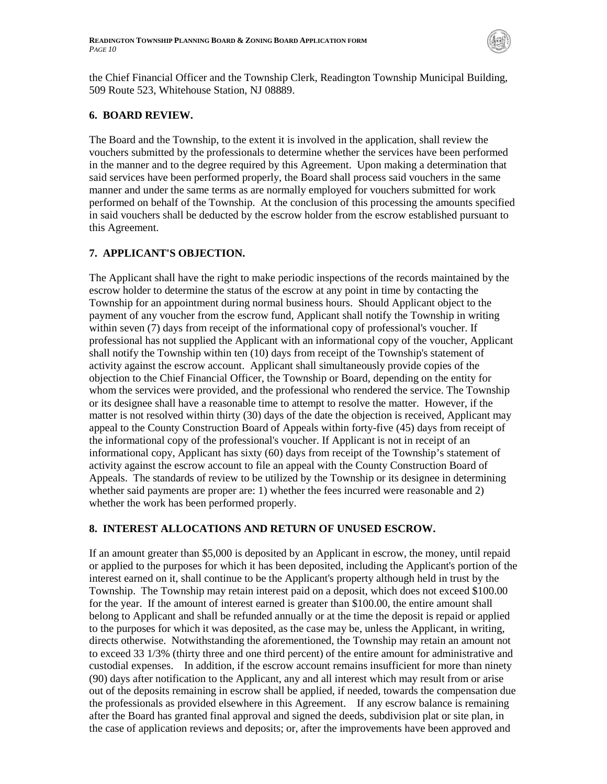

the Chief Financial Officer and the Township Clerk, Readington Township Municipal Building, 509 Route 523, Whitehouse Station, NJ 08889.

#### **6. BOARD REVIEW.**

The Board and the Township, to the extent it is involved in the application, shall review the vouchers submitted by the professionals to determine whether the services have been performed in the manner and to the degree required by this Agreement. Upon making a determination that said services have been performed properly, the Board shall process said vouchers in the same manner and under the same terms as are normally employed for vouchers submitted for work performed on behalf of the Township. At the conclusion of this processing the amounts specified in said vouchers shall be deducted by the escrow holder from the escrow established pursuant to this Agreement.

## **7. APPLICANT'S OBJECTION.**

The Applicant shall have the right to make periodic inspections of the records maintained by the escrow holder to determine the status of the escrow at any point in time by contacting the Township for an appointment during normal business hours. Should Applicant object to the payment of any voucher from the escrow fund, Applicant shall notify the Township in writing within seven (7) days from receipt of the informational copy of professional's voucher. If professional has not supplied the Applicant with an informational copy of the voucher, Applicant shall notify the Township within ten (10) days from receipt of the Township's statement of activity against the escrow account. Applicant shall simultaneously provide copies of the objection to the Chief Financial Officer, the Township or Board, depending on the entity for whom the services were provided, and the professional who rendered the service. The Township or its designee shall have a reasonable time to attempt to resolve the matter. However, if the matter is not resolved within thirty (30) days of the date the objection is received, Applicant may appeal to the County Construction Board of Appeals within forty-five (45) days from receipt of the informational copy of the professional's voucher. If Applicant is not in receipt of an informational copy, Applicant has sixty (60) days from receipt of the Township's statement of activity against the escrow account to file an appeal with the County Construction Board of Appeals. The standards of review to be utilized by the Township or its designee in determining whether said payments are proper are: 1) whether the fees incurred were reasonable and 2) whether the work has been performed properly.

### **8. INTEREST ALLOCATIONS AND RETURN OF UNUSED ESCROW.**

If an amount greater than \$5,000 is deposited by an Applicant in escrow, the money, until repaid or applied to the purposes for which it has been deposited, including the Applicant's portion of the interest earned on it, shall continue to be the Applicant's property although held in trust by the Township. The Township may retain interest paid on a deposit, which does not exceed \$100.00 for the year. If the amount of interest earned is greater than \$100.00, the entire amount shall belong to Applicant and shall be refunded annually or at the time the deposit is repaid or applied to the purposes for which it was deposited, as the case may be, unless the Applicant, in writing, directs otherwise. Notwithstanding the aforementioned, the Township may retain an amount not to exceed 33 1/3% (thirty three and one third percent) of the entire amount for administrative and custodial expenses. In addition, if the escrow account remains insufficient for more than ninety (90) days after notification to the Applicant, any and all interest which may result from or arise out of the deposits remaining in escrow shall be applied, if needed, towards the compensation due the professionals as provided elsewhere in this Agreement. If any escrow balance is remaining after the Board has granted final approval and signed the deeds, subdivision plat or site plan, in the case of application reviews and deposits; or, after the improvements have been approved and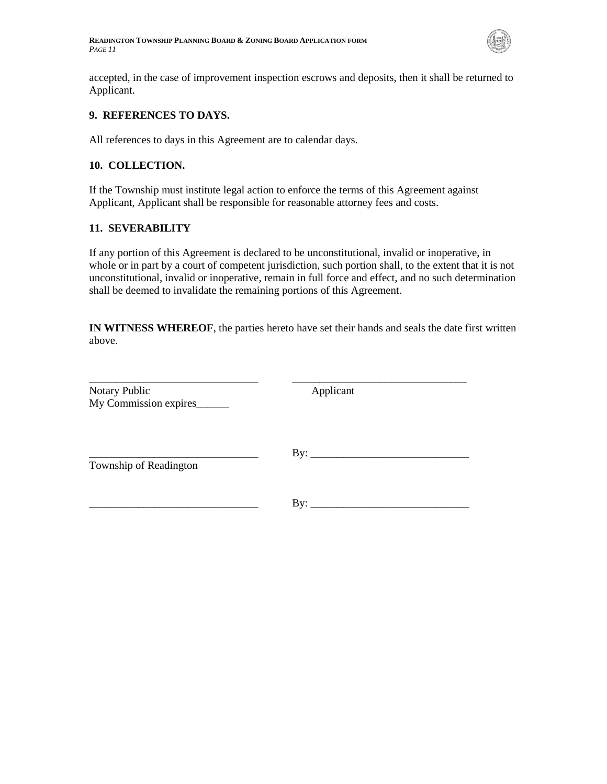

accepted, in the case of improvement inspection escrows and deposits, then it shall be returned to Applicant.

#### **9. REFERENCES TO DAYS.**

All references to days in this Agreement are to calendar days.

#### **10. COLLECTION.**

If the Township must institute legal action to enforce the terms of this Agreement against Applicant, Applicant shall be responsible for reasonable attorney fees and costs.

#### **11. SEVERABILITY**

If any portion of this Agreement is declared to be unconstitutional, invalid or inoperative, in whole or in part by a court of competent jurisdiction, such portion shall, to the extent that it is not unconstitutional, invalid or inoperative, remain in full force and effect, and no such determination shall be deemed to invalidate the remaining portions of this Agreement.

**IN WITNESS WHEREOF**, the parties hereto have set their hands and seals the date first written above.

| Notary Public<br>My Commission expires | Applicant |  |
|----------------------------------------|-----------|--|
| Township of Readington                 |           |  |
|                                        | By:       |  |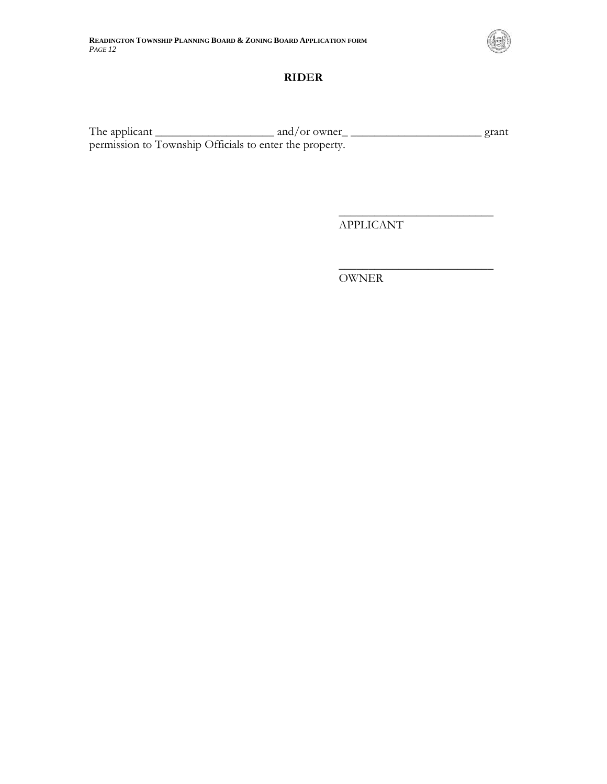

### **RIDER**

The applicant  $\frac{1}{\sqrt{2\pi}}$  and/or owner  $\frac{1}{\sqrt{2\pi}}$  grant permission to Township Officials to enter the property.

APPLICANT

 $\overline{\phantom{a}}$  , where  $\overline{\phantom{a}}$  , where  $\overline{\phantom{a}}$  , where  $\overline{\phantom{a}}$ 

 $\overline{\phantom{a}}$  , where  $\overline{\phantom{a}}$  , where  $\overline{\phantom{a}}$  , where  $\overline{\phantom{a}}$ 

OWNER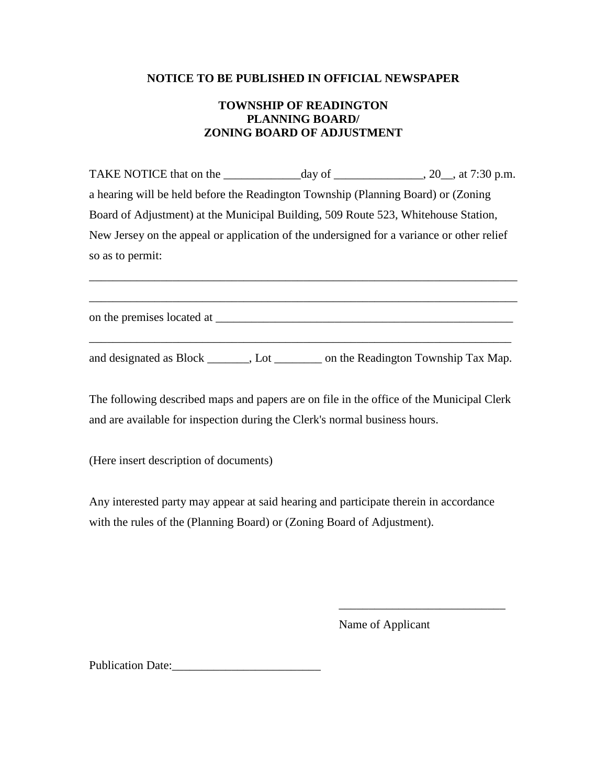## **NOTICE TO BE PUBLISHED IN OFFICIAL NEWSPAPER**

# **TOWNSHIP OF READINGTON PLANNING BOARD/ ZONING BOARD OF ADJUSTMENT**

TAKE NOTICE that on the  $\frac{day}{dx}$  of  $\frac{day}{dx}$ , 20, at 7:30 p.m. a hearing will be held before the Readington Township (Planning Board) or (Zoning Board of Adjustment) at the Municipal Building, 509 Route 523, Whitehouse Station, New Jersey on the appeal or application of the undersigned for a variance or other relief so as to permit:

\_\_\_\_\_\_\_\_\_\_\_\_\_\_\_\_\_\_\_\_\_\_\_\_\_\_\_\_\_\_\_\_\_\_\_\_\_\_\_\_\_\_\_\_\_\_\_\_\_\_\_\_\_\_\_\_\_\_\_\_\_\_\_\_\_\_\_\_\_\_\_\_

\_\_\_\_\_\_\_\_\_\_\_\_\_\_\_\_\_\_\_\_\_\_\_\_\_\_\_\_\_\_\_\_\_\_\_\_\_\_\_\_\_\_\_\_\_\_\_\_\_\_\_\_\_\_\_\_\_\_\_\_\_\_\_\_\_\_\_\_\_\_\_\_

on the premises located at \_\_\_\_\_\_\_\_\_\_\_\_\_\_\_\_\_\_\_\_\_\_\_\_\_\_\_\_\_\_\_\_\_\_\_\_\_\_\_\_\_\_\_\_\_\_\_\_\_\_

and designated as Block \_\_\_\_\_\_, Lot \_\_\_\_\_\_\_\_ on the Readington Township Tax Map.

\_\_\_\_\_\_\_\_\_\_\_\_\_\_\_\_\_\_\_\_\_\_\_\_\_\_\_\_\_\_\_\_\_\_\_\_\_\_\_\_\_\_\_\_\_\_\_\_\_\_\_\_\_\_\_\_\_\_\_\_\_\_\_\_\_\_\_\_\_\_\_

The following described maps and papers are on file in the office of the Municipal Clerk and are available for inspection during the Clerk's normal business hours.

(Here insert description of documents)

Any interested party may appear at said hearing and participate therein in accordance with the rules of the (Planning Board) or (Zoning Board of Adjustment).

 $\overline{\phantom{a}}$  , which is a set of the contract of the contract of the contract of the contract of the contract of the contract of the contract of the contract of the contract of the contract of the contract of the contract

Name of Applicant

Publication Date: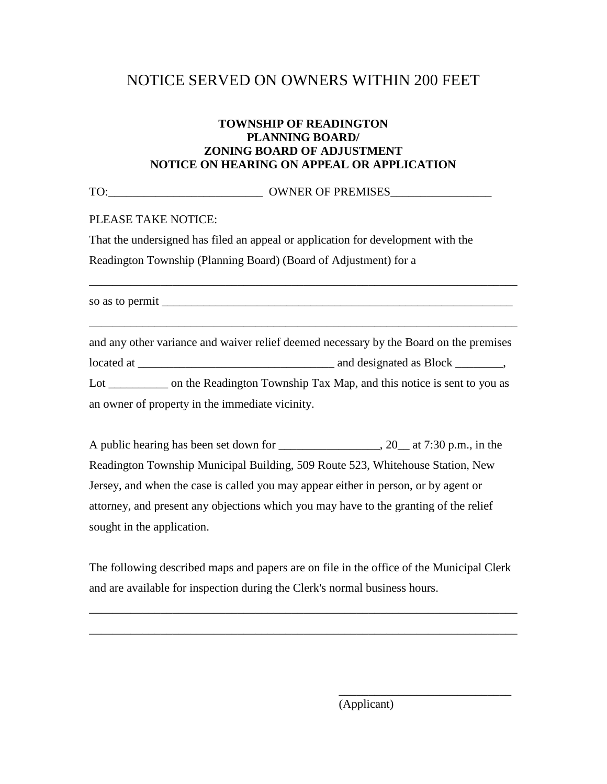# NOTICE SERVED ON OWNERS WITHIN 200 FEET

# **TOWNSHIP OF READINGTON PLANNING BOARD/ ZONING BOARD OF ADJUSTMENT NOTICE ON HEARING ON APPEAL OR APPLICATION**

TO:\_\_\_\_\_\_\_\_\_\_\_\_\_\_\_\_\_\_\_\_\_\_\_\_\_\_ OWNER OF PREMISES\_\_\_\_\_\_\_\_\_\_\_\_\_\_\_\_\_

PLEASE TAKE NOTICE:

That the undersigned has filed an appeal or application for development with the Readington Township (Planning Board) (Board of Adjustment) for a

so as to permit

\_\_\_\_\_\_\_\_\_\_\_\_\_\_\_\_\_\_\_\_\_\_\_\_\_\_\_\_\_\_\_\_\_\_\_\_\_\_\_\_\_\_\_\_\_\_\_\_\_\_\_\_\_\_\_\_\_\_\_\_\_\_\_\_\_\_\_\_\_\_\_\_

\_\_\_\_\_\_\_\_\_\_\_\_\_\_\_\_\_\_\_\_\_\_\_\_\_\_\_\_\_\_\_\_\_\_\_\_\_\_\_\_\_\_\_\_\_\_\_\_\_\_\_\_\_\_\_\_\_\_\_\_\_\_\_\_\_\_\_\_\_\_\_\_

and any other variance and waiver relief deemed necessary by the Board on the premises located at \_\_\_\_\_\_\_\_\_\_\_\_\_\_\_\_\_\_\_\_\_\_\_\_\_\_\_\_\_\_\_\_\_ and designated as Block \_\_\_\_\_\_\_\_, Lot on the Readington Township Tax Map, and this notice is sent to you as an owner of property in the immediate vicinity.

A public hearing has been set down for \_\_\_\_\_\_\_\_\_\_\_\_\_\_\_\_\_\_, 20\_\_ at 7:30 p.m., in the Readington Township Municipal Building, 509 Route 523, Whitehouse Station, New Jersey, and when the case is called you may appear either in person, or by agent or attorney, and present any objections which you may have to the granting of the relief sought in the application.

The following described maps and papers are on file in the office of the Municipal Clerk and are available for inspection during the Clerk's normal business hours.

\_\_\_\_\_\_\_\_\_\_\_\_\_\_\_\_\_\_\_\_\_\_\_\_\_\_\_\_\_\_\_\_\_\_\_\_\_\_\_\_\_\_\_\_\_\_\_\_\_\_\_\_\_\_\_\_\_\_\_\_\_\_\_\_\_\_\_\_\_\_\_\_

\_\_\_\_\_\_\_\_\_\_\_\_\_\_\_\_\_\_\_\_\_\_\_\_\_\_\_\_\_\_\_\_\_\_\_\_\_\_\_\_\_\_\_\_\_\_\_\_\_\_\_\_\_\_\_\_\_\_\_\_\_\_\_\_\_\_\_\_\_\_\_\_

(Applicant)

\_\_\_\_\_\_\_\_\_\_\_\_\_\_\_\_\_\_\_\_\_\_\_\_\_\_\_\_\_